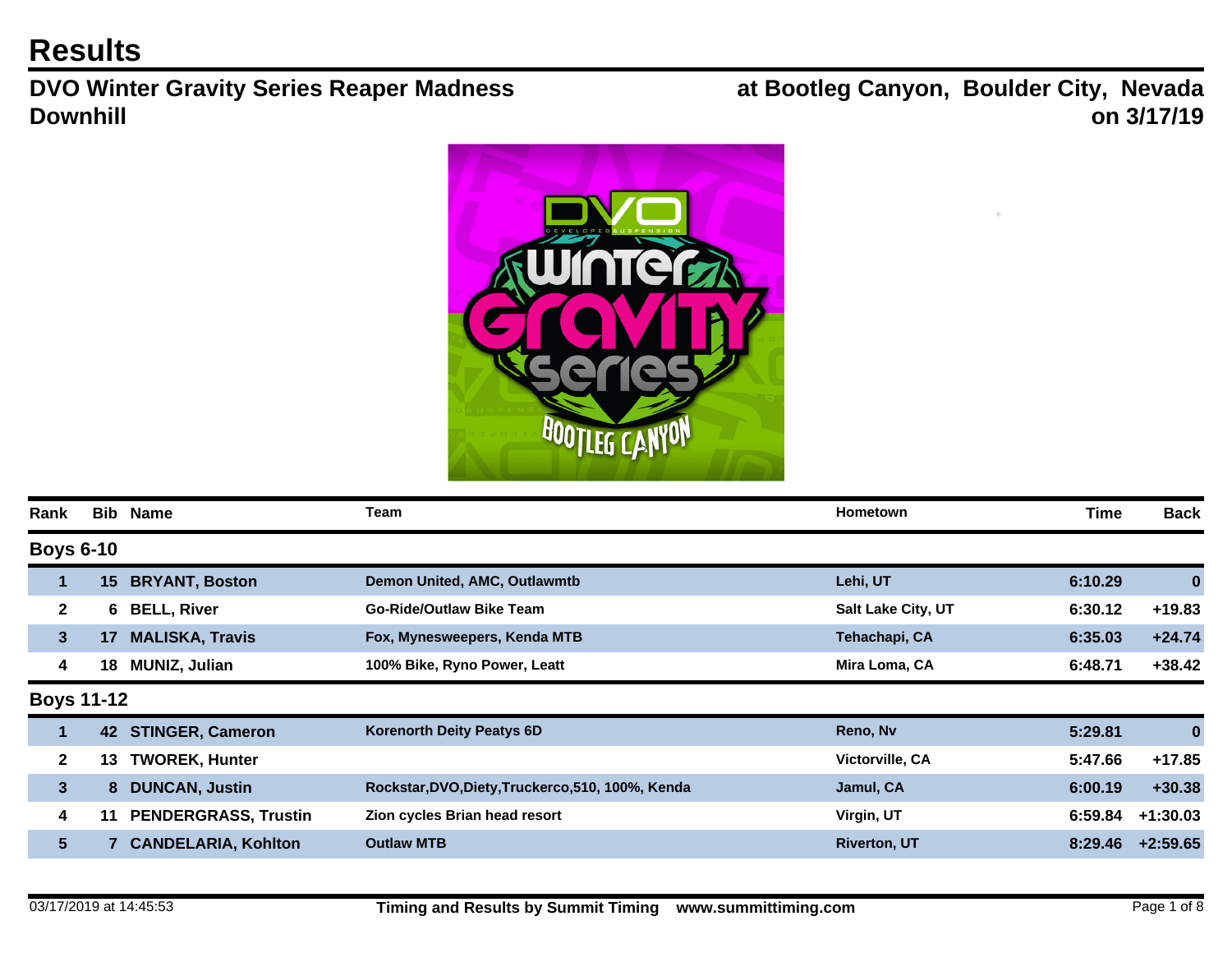## **Results**

**DVO Winter Gravity Series Reaper Madness Downhill**

**at Bootleg Canyon, Boulder City, Nevada on 3/17/19**



| Rank           |                   | <b>Bib Name</b>             | Team                                              | Hometown                  | Time    | <b>Back</b> |
|----------------|-------------------|-----------------------------|---------------------------------------------------|---------------------------|---------|-------------|
|                | <b>Boys 6-10</b>  |                             |                                                   |                           |         |             |
| 1              | 15                | <b>BRYANT, Boston</b>       | Demon United, AMC, Outlawmtb                      | Lehi, UT                  | 6:10.29 | $\bf{0}$    |
| $\mathbf{2}$   | 6.                | <b>BELL, River</b>          | <b>Go-Ride/Outlaw Bike Team</b>                   | <b>Salt Lake City, UT</b> | 6:30.12 | $+19.83$    |
| 3 <sup>5</sup> | 17                | <b>MALISKA, Travis</b>      | Fox, Mynesweepers, Kenda MTB                      | Tehachapi, CA             | 6:35.03 | $+24.74$    |
| 4              | 18                | <b>MUNIZ, Julian</b>        | 100% Bike, Ryno Power, Leatt                      | Mira Loma, CA             | 6:48.71 | $+38.42$    |
|                | <b>Boys 11-12</b> |                             |                                                   |                           |         |             |
| 1              | 42                | <b>STINGER, Cameron</b>     | <b>Korenorth Deity Peatys 6D</b>                  | Reno, Nv                  | 5:29.81 | 0           |
| $\mathbf{2}$   | 13                | <b>TWOREK, Hunter</b>       |                                                   | Victorville, CA           | 5:47.66 | $+17.85$    |
| 3 <sup>5</sup> | 8                 | <b>DUNCAN, Justin</b>       | Rockstar, DVO, Diety, Truckerco, 510, 100%, Kenda | Jamul, CA                 | 6:00.19 | $+30.38$    |
| 4              | 11                | <b>PENDERGRASS, Trustin</b> | Zion cycles Brian head resort                     | Virgin, UT                | 6:59.84 | $+1:30.03$  |
| 5 <sup>5</sup> |                   | <b>CANDELARIA, Kohlton</b>  | <b>Outlaw MTB</b>                                 | <b>Riverton, UT</b>       | 8:29.46 | $+2:59.65$  |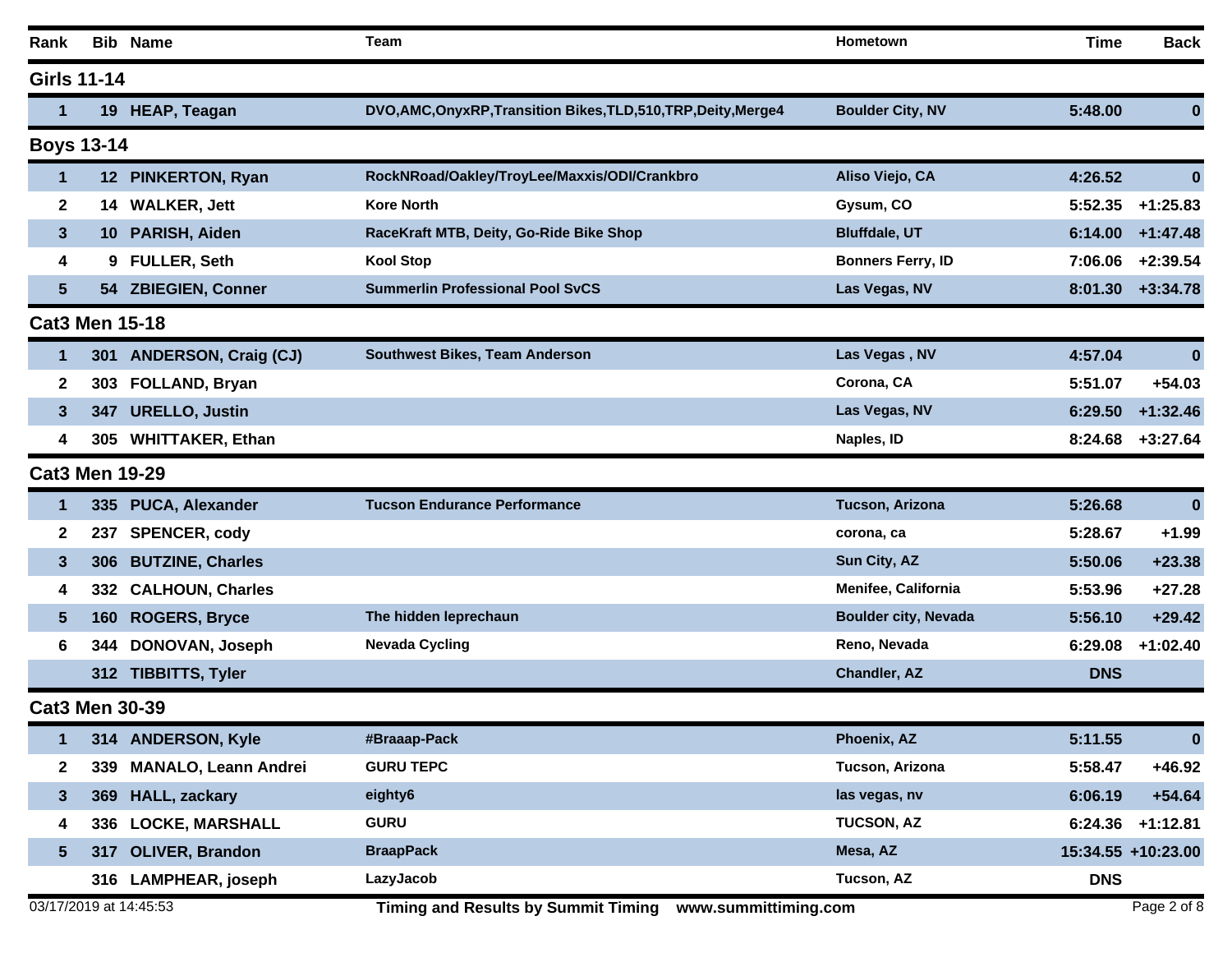| Rank                  |            | <b>Bib Name</b>             | <b>Team</b>                                                      | Hometown                    | <b>Time</b> | <b>Back</b>        |
|-----------------------|------------|-----------------------------|------------------------------------------------------------------|-----------------------------|-------------|--------------------|
| <b>Girls 11-14</b>    |            |                             |                                                                  |                             |             |                    |
|                       |            | 19 HEAP, Teagan             | DVO, AMC, OnyxRP, Transition Bikes, TLD, 510, TRP, Deity, Merge4 | <b>Boulder City, NV</b>     | 5:48.00     | $\bf{0}$           |
| <b>Boys 13-14</b>     |            |                             |                                                                  |                             |             |                    |
| 1                     |            | 12 PINKERTON, Ryan          | RockNRoad/Oakley/TroyLee/Maxxis/ODI/Crankbro                     | Aliso Viejo, CA             | 4:26.52     | $\bf{0}$           |
| $\mathbf{2}$          |            | 14 WALKER, Jett             | <b>Kore North</b>                                                | Gysum, CO                   | 5:52.35     | $+1:25.83$         |
| 3                     | 10         | PARISH, Aiden               | RaceKraft MTB, Deity, Go-Ride Bike Shop                          | <b>Bluffdale, UT</b>        | 6:14.00     | $+1:47.48$         |
| 4                     |            | 9 FULLER, Seth              | <b>Kool Stop</b>                                                 | <b>Bonners Ferry, ID</b>    | 7:06.06     | $+2:39.54$         |
| $\sqrt{5}$            |            | 54 ZBIEGIEN, Conner         | <b>Summerlin Professional Pool SvCS</b>                          | Las Vegas, NV               | 8:01.30     | $+3:34.78$         |
| <b>Cat3 Men 15-18</b> |            |                             |                                                                  |                             |             |                    |
| 1                     | <b>301</b> | <b>ANDERSON, Craig (CJ)</b> | Southwest Bikes, Team Anderson                                   | Las Vegas, NV               | 4:57.04     | $\bf{0}$           |
| 2                     | 303        | FOLLAND, Bryan              |                                                                  | Corona, CA                  | 5:51.07     | $+54.03$           |
| 3                     | 347        | <b>URELLO, Justin</b>       |                                                                  | Las Vegas, NV               | 6:29.50     | $+1:32.46$         |
| 4                     |            | 305 WHITTAKER, Ethan        |                                                                  | Naples, ID                  | 8:24.68     | $+3:27.64$         |
| <b>Cat3 Men 19-29</b> |            |                             |                                                                  |                             |             |                    |
| 1                     | 335        | <b>PUCA, Alexander</b>      | <b>Tucson Endurance Performance</b>                              | Tucson, Arizona             | 5:26.68     | $\bf{0}$           |
| 2                     | 237        | <b>SPENCER, cody</b>        |                                                                  | corona, ca                  | 5:28.67     | $+1.99$            |
| 3                     | <b>306</b> | <b>BUTZINE, Charles</b>     |                                                                  | Sun City, AZ                | 5:50.06     | $+23.38$           |
| 4                     | 332        | <b>CALHOUN, Charles</b>     |                                                                  | Menifee, California         | 5:53.96     | $+27.28$           |
| 5                     | 160        | <b>ROGERS, Bryce</b>        | The hidden leprechaun                                            | <b>Boulder city, Nevada</b> | 5:56.10     | $+29.42$           |
| 6                     | 344        | DONOVAN, Joseph             | <b>Nevada Cycling</b>                                            | Reno, Nevada                | 6:29.08     | $+1:02.40$         |
|                       |            | 312 TIBBITTS, Tyler         |                                                                  | Chandler, AZ                | <b>DNS</b>  |                    |
| <b>Cat3 Men 30-39</b> |            |                             |                                                                  |                             |             |                    |
| 1                     |            | 314 ANDERSON, Kyle          | #Braaap-Pack                                                     | Phoenix, AZ                 | 5:11.55     | $\bf{0}$           |
| $\mathbf{2}$          | 339        | <b>MANALO, Leann Andrei</b> | <b>GURU TEPC</b>                                                 | Tucson, Arizona             | 5:58.47     | $+46.92$           |
| $\mathbf{3}$          | <b>369</b> | <b>HALL, zackary</b>        | eighty6                                                          | las vegas, nv               | 6:06.19     | $+54.64$           |
| 4                     | 336        | <b>LOCKE, MARSHALL</b>      | <b>GURU</b>                                                      | <b>TUCSON, AZ</b>           | 6:24.36     | $+1:12.81$         |
| $5\phantom{.0}$       | 317        | <b>OLIVER, Brandon</b>      | <b>BraapPack</b>                                                 | Mesa, AZ                    |             | 15:34.55 +10:23.00 |
|                       |            | 316 LAMPHEAR, joseph        | LazyJacob                                                        | Tucson, AZ                  | <b>DNS</b>  |                    |
|                       |            | 03/17/2019 at 14:45:53      | Timing and Results by Summit Timing www.summittiming.com         |                             |             | Page 2 of 8        |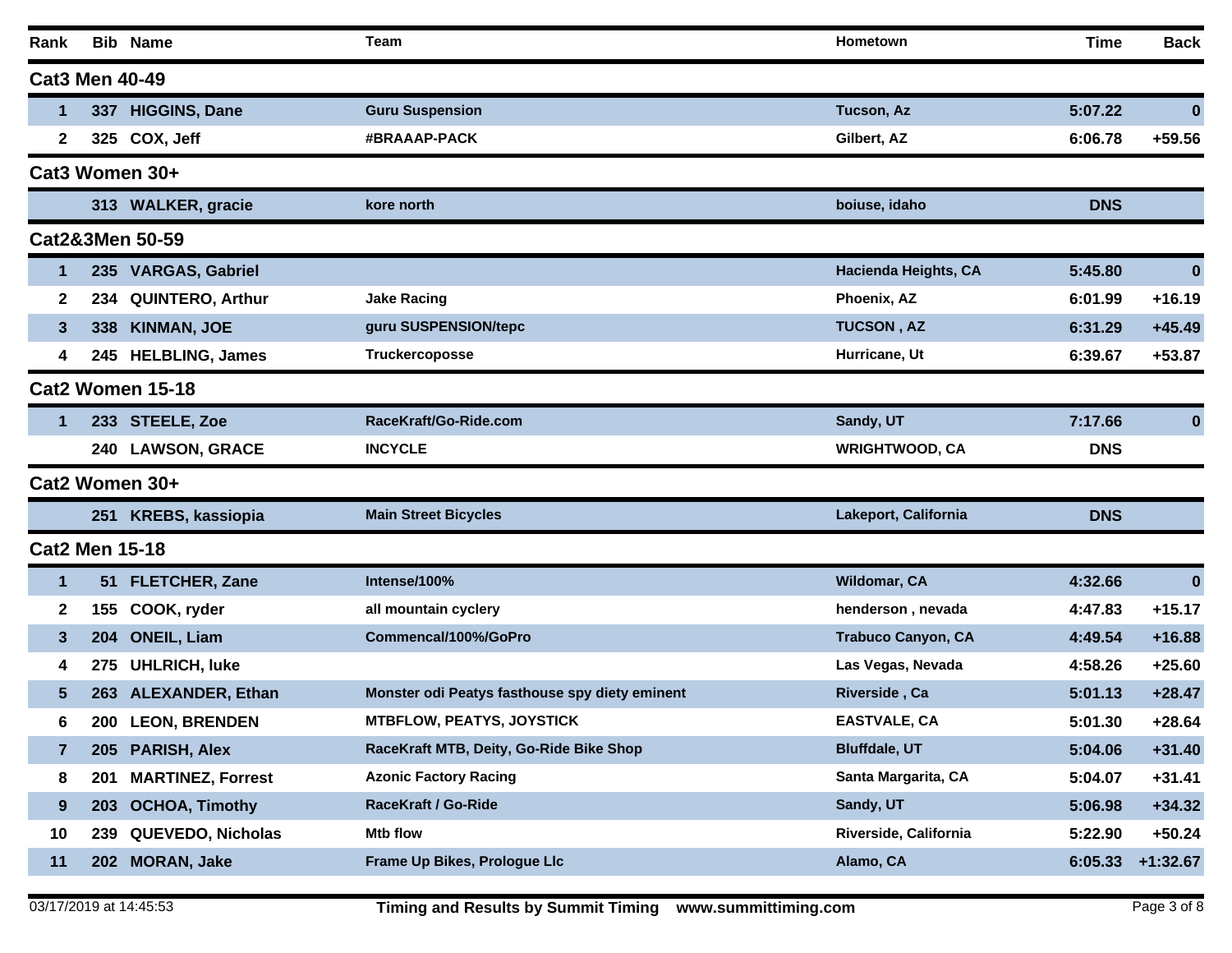|     |                          | <b>Team</b>                                                                                                                                                                                                                                                                                                                                                                                                                                                                      | Hometown                  | <b>Time</b> | <b>Back</b> |
|-----|--------------------------|----------------------------------------------------------------------------------------------------------------------------------------------------------------------------------------------------------------------------------------------------------------------------------------------------------------------------------------------------------------------------------------------------------------------------------------------------------------------------------|---------------------------|-------------|-------------|
|     |                          |                                                                                                                                                                                                                                                                                                                                                                                                                                                                                  |                           |             |             |
|     |                          | <b>Guru Suspension</b>                                                                                                                                                                                                                                                                                                                                                                                                                                                           | Tucson, Az                | 5:07.22     | $\bf{0}$    |
|     |                          | #BRAAAP-PACK                                                                                                                                                                                                                                                                                                                                                                                                                                                                     | Gilbert, AZ               | 6:06.78     | +59.56      |
|     |                          |                                                                                                                                                                                                                                                                                                                                                                                                                                                                                  |                           |             |             |
|     |                          | kore north                                                                                                                                                                                                                                                                                                                                                                                                                                                                       | boiuse, idaho             | <b>DNS</b>  |             |
|     |                          |                                                                                                                                                                                                                                                                                                                                                                                                                                                                                  |                           |             |             |
|     |                          |                                                                                                                                                                                                                                                                                                                                                                                                                                                                                  | Hacienda Heights, CA      | 5:45.80     | $\bf{0}$    |
|     | <b>QUINTERO, Arthur</b>  | <b>Jake Racing</b>                                                                                                                                                                                                                                                                                                                                                                                                                                                               | Phoenix, AZ               | 6:01.99     | $+16.19$    |
| 338 | <b>KINMAN, JOE</b>       | guru SUSPENSION/tepc                                                                                                                                                                                                                                                                                                                                                                                                                                                             | <b>TUCSON, AZ</b>         | 6:31.29     | $+45.49$    |
|     |                          | <b>Truckercoposse</b>                                                                                                                                                                                                                                                                                                                                                                                                                                                            | Hurricane, Ut             | 6:39.67     | $+53.87$    |
|     |                          |                                                                                                                                                                                                                                                                                                                                                                                                                                                                                  |                           |             |             |
|     |                          | RaceKraft/Go-Ride.com                                                                                                                                                                                                                                                                                                                                                                                                                                                            | Sandy, UT                 | 7:17.66     | $\bf{0}$    |
|     |                          | <b>INCYCLE</b>                                                                                                                                                                                                                                                                                                                                                                                                                                                                   | <b>WRIGHTWOOD, CA</b>     | <b>DNS</b>  |             |
|     |                          |                                                                                                                                                                                                                                                                                                                                                                                                                                                                                  |                           |             |             |
|     |                          | <b>Main Street Bicycles</b>                                                                                                                                                                                                                                                                                                                                                                                                                                                      | Lakeport, California      | <b>DNS</b>  |             |
|     |                          |                                                                                                                                                                                                                                                                                                                                                                                                                                                                                  |                           |             |             |
|     |                          | Intense/100%                                                                                                                                                                                                                                                                                                                                                                                                                                                                     | Wildomar, CA              | 4:32.66     | $\bf{0}$    |
|     | COOK, ryder              | all mountain cyclery                                                                                                                                                                                                                                                                                                                                                                                                                                                             | henderson, nevada         | 4:47.83     | $+15.17$    |
|     | <b>ONEIL, Liam</b>       | Commencal/100%/GoPro                                                                                                                                                                                                                                                                                                                                                                                                                                                             | <b>Trabuco Canyon, CA</b> | 4:49.54     | $+16.88$    |
|     | <b>UHLRICH, luke</b>     |                                                                                                                                                                                                                                                                                                                                                                                                                                                                                  | Las Vegas, Nevada         | 4:58.26     | $+25.60$    |
|     |                          | Monster odi Peatys fasthouse spy diety eminent                                                                                                                                                                                                                                                                                                                                                                                                                                   | Riverside, Ca             | 5:01.13     | $+28.47$    |
|     |                          | <b>MTBFLOW, PEATYS, JOYSTICK</b>                                                                                                                                                                                                                                                                                                                                                                                                                                                 | <b>EASTVALE, CA</b>       | 5:01.30     | $+28.64$    |
|     |                          | RaceKraft MTB, Deity, Go-Ride Bike Shop                                                                                                                                                                                                                                                                                                                                                                                                                                          | <b>Bluffdale, UT</b>      | 5:04.06     | $+31.40$    |
| 201 | <b>MARTINEZ, Forrest</b> | <b>Azonic Factory Racing</b>                                                                                                                                                                                                                                                                                                                                                                                                                                                     | Santa Margarita, CA       | 5:04.07     | $+31.41$    |
|     | <b>OCHOA, Timothy</b>    | RaceKraft / Go-Ride                                                                                                                                                                                                                                                                                                                                                                                                                                                              | Sandy, UT                 | 5:06.98     | $+34.32$    |
| 239 | <b>QUEVEDO, Nicholas</b> | <b>Mtb flow</b>                                                                                                                                                                                                                                                                                                                                                                                                                                                                  | Riverside, California     | 5:22.90     | $+50.24$    |
|     |                          | Frame Up Bikes, Prologue Llc                                                                                                                                                                                                                                                                                                                                                                                                                                                     | Alamo, CA                 | 6:05.33     | $+1:32.67$  |
|     |                          | <b>Bib Name</b><br><b>Cat3 Men 40-49</b><br>337 HIGGINS, Dane<br>325 COX, Jeff<br>Cat3 Women 30+<br>313 WALKER, gracie<br>Cat2&3Men 50-59<br>235 VARGAS, Gabriel<br>234<br>245 HELBLING, James<br><b>Cat2 Women 15-18</b><br>233 STEELE, Zoe<br>240 LAWSON, GRACE<br>Cat2 Women 30+<br>251 KREBS, kassiopia<br><b>Cat2 Men 15-18</b><br>51 FLETCHER, Zane<br>155<br><b>204</b><br>275<br>263 ALEXANDER, Ethan<br>200 LEON, BRENDEN<br>205 PARISH, Alex<br>203<br>202 MORAN, Jake |                           |             |             |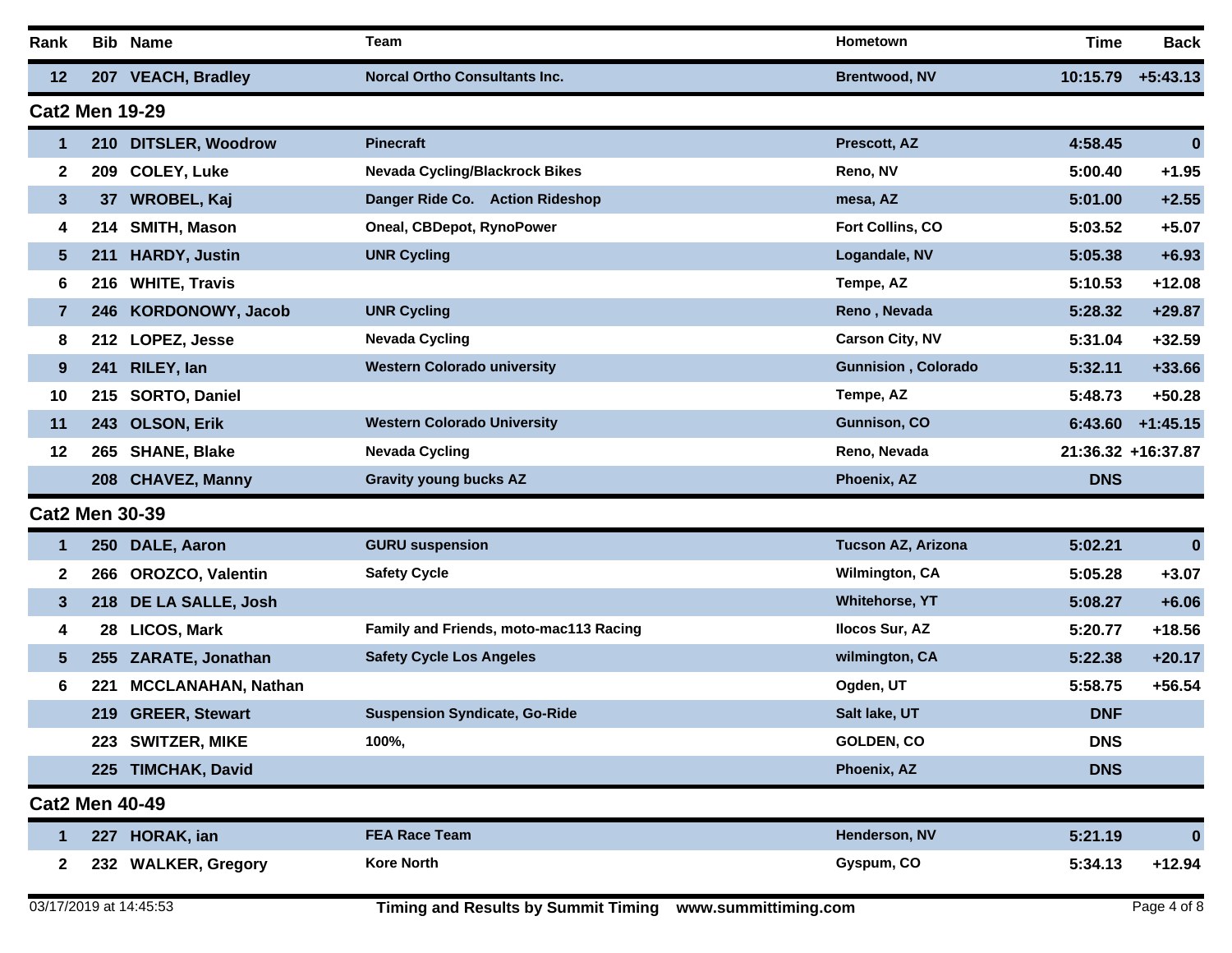| Rank                  |            | <b>Bib Name</b>           | <b>Team</b>                            | Hometown                   | <b>Time</b> | <b>Back</b>        |
|-----------------------|------------|---------------------------|----------------------------------------|----------------------------|-------------|--------------------|
| 12                    |            | 207 VEACH, Bradley        | <b>Norcal Ortho Consultants Inc.</b>   | <b>Brentwood, NV</b>       | 10:15.79    | $+5:43.13$         |
| <b>Cat2 Men 19-29</b> |            |                           |                                        |                            |             |                    |
| 1                     |            | 210 DITSLER, Woodrow      | <b>Pinecraft</b>                       | Prescott, AZ               | 4:58.45     | $\bf{0}$           |
| $\mathbf{2}$          | 209        | <b>COLEY, Luke</b>        | <b>Nevada Cycling/Blackrock Bikes</b>  | Reno, NV                   | 5:00.40     | $+1.95$            |
| $\mathbf{3}$          | 37         | <b>WROBEL, Kaj</b>        | Danger Ride Co. Action Rideshop        | mesa, AZ                   | 5:01.00     | $+2.55$            |
| 4                     | 214        | <b>SMITH, Mason</b>       | Oneal, CBDepot, RynoPower              | Fort Collins, CO           | 5:03.52     | $+5.07$            |
| $5\phantom{.0}$       | 211        | <b>HARDY, Justin</b>      | <b>UNR Cycling</b>                     | Logandale, NV              | 5:05.38     | $+6.93$            |
| 6                     | 216        | <b>WHITE, Travis</b>      |                                        | Tempe, AZ                  | 5:10.53     | $+12.08$           |
| $\overline{7}$        | 246        | KORDONOWY, Jacob          | <b>UNR Cycling</b>                     | Reno, Nevada               | 5:28.32     | $+29.87$           |
| 8                     |            | 212 LOPEZ, Jesse          | <b>Nevada Cycling</b>                  | <b>Carson City, NV</b>     | 5:31.04     | $+32.59$           |
| 9                     | 241        | RILEY, Ian                | <b>Western Colorado university</b>     | <b>Gunnision, Colorado</b> | 5:32.11     | +33.66             |
| 10                    |            | 215 SORTO, Daniel         |                                        | Tempe, AZ                  | 5:48.73     | $+50.28$           |
| 11                    |            | 243 OLSON, Erik           | <b>Western Colorado University</b>     | Gunnison, CO               | 6:43.60     | $+1:45.15$         |
| 12                    |            | 265 SHANE, Blake          | <b>Nevada Cycling</b>                  | Reno, Nevada               |             | 21:36.32 +16:37.87 |
|                       |            | 208 CHAVEZ, Manny         | <b>Gravity young bucks AZ</b>          | Phoenix, AZ                | <b>DNS</b>  |                    |
| <b>Cat2 Men 30-39</b> |            |                           |                                        |                            |             |                    |
| 1                     |            | 250 DALE, Aaron           | <b>GURU suspension</b>                 | <b>Tucson AZ, Arizona</b>  | 5:02.21     | $\bf{0}$           |
| $\mathbf{2}$          | 266        | <b>OROZCO, Valentin</b>   | <b>Safety Cycle</b>                    | <b>Wilmington, CA</b>      | 5:05.28     | $+3.07$            |
| $\mathbf{3}$          | 218        | DE LA SALLE, Josh         |                                        | <b>Whitehorse, YT</b>      | 5:08.27     | $+6.06$            |
| 4                     | 28         | <b>LICOS, Mark</b>        | Family and Friends, moto-mac113 Racing | <b>Ilocos Sur, AZ</b>      | 5:20.77     | $+18.56$           |
| $5\phantom{.0}$       | <b>255</b> | ZARATE, Jonathan          | <b>Safety Cycle Los Angeles</b>        | wilmington, CA             | 5:22.38     | $+20.17$           |
| 6                     | 221        | <b>MCCLANAHAN, Nathan</b> |                                        | Ogden, UT                  | 5:58.75     | $+56.54$           |
|                       |            | 219 GREER, Stewart        | <b>Suspension Syndicate, Go-Ride</b>   | Salt lake, UT              | <b>DNF</b>  |                    |
|                       |            | 223 SWITZER, MIKE         | 100%,                                  | <b>GOLDEN, CO</b>          | <b>DNS</b>  |                    |
|                       | 225        | <b>TIMCHAK, David</b>     |                                        | Phoenix, AZ                | <b>DNS</b>  |                    |
| <b>Cat2 Men 40-49</b> |            |                           |                                        |                            |             |                    |
| 1.                    |            | 227 HORAK, ian            | <b>FEA Race Team</b>                   | Henderson, NV              | 5:21.19     | $\bf{0}$           |
| $\mathbf{2}$          |            | 232 WALKER, Gregory       | <b>Kore North</b>                      | Gyspum, CO                 | 5:34.13     | $+12.94$           |
|                       |            |                           |                                        |                            |             |                    |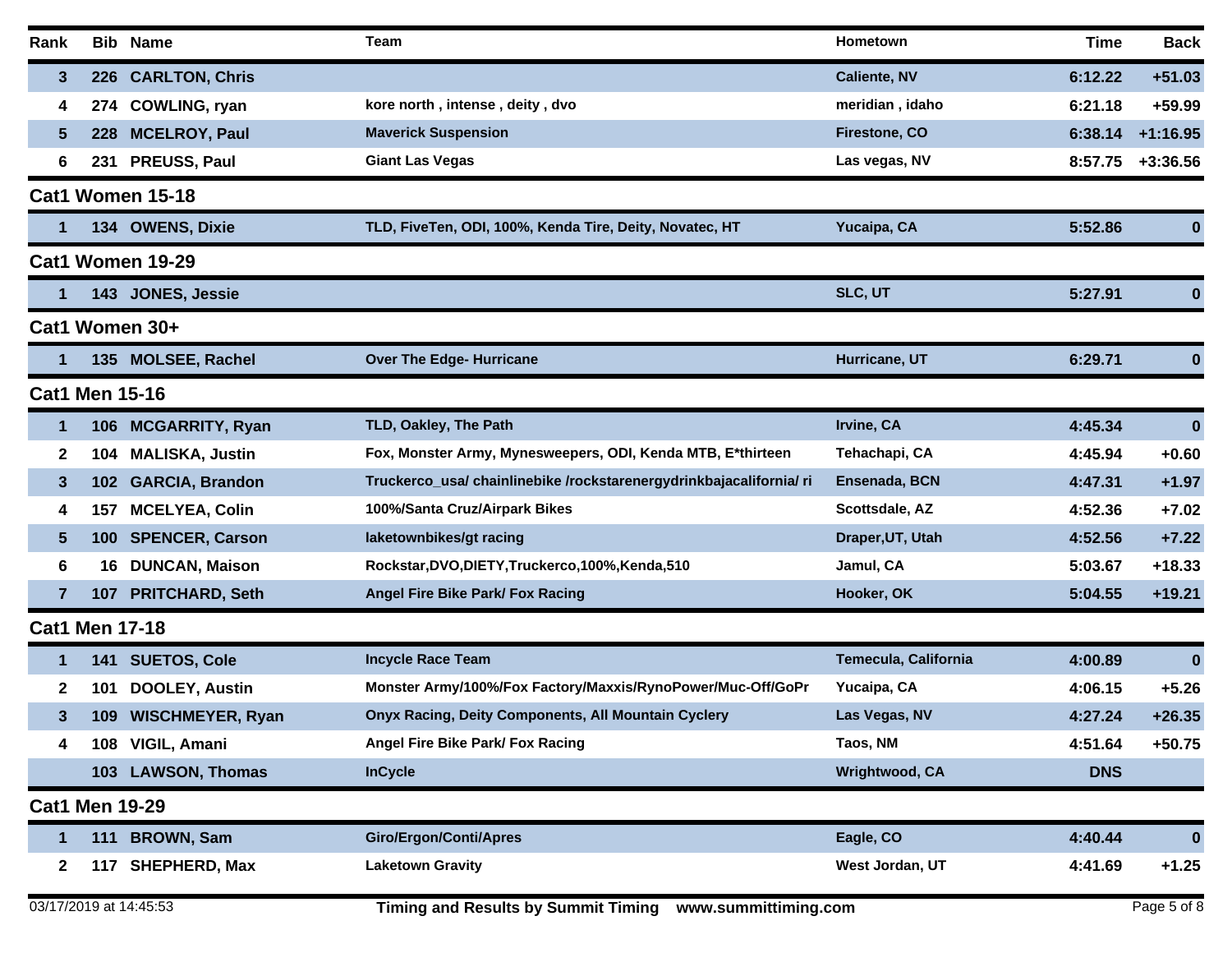| 226 CARLTON, Chris<br><b>Caliente, NV</b><br>6:12.22<br>3<br>COWLING, ryan<br>kore north, intense, deity, dvo<br>meridian, idaho<br>6:21.18<br>274.<br>4<br>Firestone, CO<br><b>MCELROY, Paul</b><br><b>Maverick Suspension</b><br>6:38.14<br>5<br>228<br>PREUSS, Paul<br>6<br><b>Giant Las Vegas</b><br>Las vegas, NV<br>8:57.75<br>231<br><b>Cat1 Women 15-18</b><br>TLD, FiveTen, ODI, 100%, Kenda Tire, Deity, Novatec, HT<br>Yucaipa, CA<br>134 OWENS, Dixie<br>5:52.86<br>Cat1 Women 19-29<br>SLC, UT<br>143 JONES, Jessie<br>5:27.91<br>Cat1 Women 30+<br>Hurricane, UT<br>6:29.71<br>135 MOLSEE, Rachel<br><b>Over The Edge- Hurricane</b><br><b>Cat1 Men 15-16</b><br>Irvine, CA<br>4:45.34<br>106 MCGARRITY, Ryan<br>TLD, Oakley, The Path<br>$\mathbf 1$<br><b>MALISKA, Justin</b><br>Fox, Monster Army, Mynesweepers, ODI, Kenda MTB, E*thirteen<br>Tehachapi, CA<br>$\mathbf{2}$<br>4:45.94<br>104<br><b>GARCIA, Brandon</b><br>Truckerco_usa/chainlinebike/rockstarenergydrinkbajacalifornia/ri<br>Ensenada, BCN<br>4:47.31<br>$\mathbf{3}$<br>102 <sub>1</sub><br><b>MCELYEA, Colin</b><br>100%/Santa Cruz/Airpark Bikes<br>Scottsdale, AZ<br>4:52.36<br>4<br>157<br><b>SPENCER, Carson</b><br>laketownbikes/gt racing<br>Draper, UT, Utah<br>4:52.56<br>5<br>100<br>6<br><b>DUNCAN, Maison</b><br>Rockstar, DVO, DIETY, Truckerco, 100%, Kenda, 510<br>Jamul, CA<br>5:03.67<br>16<br><b>PRITCHARD, Seth</b><br>Angel Fire Bike Park/ Fox Racing<br>Hooker, OK<br>$+19.21$<br>$\overline{7}$<br>5:04.55<br>107<br><b>Cat1 Men 17-18</b><br>Temecula, California<br><b>SUETOS, Cole</b><br><b>Incycle Race Team</b><br>4:00.89<br>141<br>1<br>Monster Army/100%/Fox Factory/Maxxis/RynoPower/Muc-Off/GoPr<br>Yucaipa, CA<br>$\mathbf{2}$<br><b>DOOLEY, Austin</b><br>4:06.15<br>101<br><b>Onyx Racing, Deity Components, All Mountain Cyclery</b><br>Las Vegas, NV<br>4:27.24<br>3<br><b>WISCHMEYER, Ryan</b><br>109<br>Taos, NM<br>Angel Fire Bike Park/ Fox Racing<br>4:51.64<br>VIGIL, Amani<br>108<br>4<br>Wrightwood, CA<br><b>DNS</b><br><b>LAWSON, Thomas</b><br><b>InCycle</b><br>103 <sub>1</sub><br><b>Cat1 Men 19-29</b><br><b>Giro/Ergon/Conti/Apres</b><br><b>BROWN, Sam</b><br>Eagle, CO<br>4:40.44<br>111<br>West Jordan, UT<br><b>SHEPHERD, Max</b><br><b>Laketown Gravity</b><br>4:41.69<br>$\mathbf{2}$<br>117 | Rank | <b>Bib Name</b> | <b>Team</b> | <b>Hometown</b> | <b>Time</b> | <b>Back</b> |
|------------------------------------------------------------------------------------------------------------------------------------------------------------------------------------------------------------------------------------------------------------------------------------------------------------------------------------------------------------------------------------------------------------------------------------------------------------------------------------------------------------------------------------------------------------------------------------------------------------------------------------------------------------------------------------------------------------------------------------------------------------------------------------------------------------------------------------------------------------------------------------------------------------------------------------------------------------------------------------------------------------------------------------------------------------------------------------------------------------------------------------------------------------------------------------------------------------------------------------------------------------------------------------------------------------------------------------------------------------------------------------------------------------------------------------------------------------------------------------------------------------------------------------------------------------------------------------------------------------------------------------------------------------------------------------------------------------------------------------------------------------------------------------------------------------------------------------------------------------------------------------------------------------------------------------------------------------------------------------------------------------------------------------------------------------------------------------------------------------------------------------------------------------------------------------------------------------------------------------------------------------------------------------------------------------------------------------------------|------|-----------------|-------------|-----------------|-------------|-------------|
|                                                                                                                                                                                                                                                                                                                                                                                                                                                                                                                                                                                                                                                                                                                                                                                                                                                                                                                                                                                                                                                                                                                                                                                                                                                                                                                                                                                                                                                                                                                                                                                                                                                                                                                                                                                                                                                                                                                                                                                                                                                                                                                                                                                                                                                                                                                                                |      |                 |             |                 |             | $+51.03$    |
|                                                                                                                                                                                                                                                                                                                                                                                                                                                                                                                                                                                                                                                                                                                                                                                                                                                                                                                                                                                                                                                                                                                                                                                                                                                                                                                                                                                                                                                                                                                                                                                                                                                                                                                                                                                                                                                                                                                                                                                                                                                                                                                                                                                                                                                                                                                                                |      |                 |             |                 |             | +59.99      |
|                                                                                                                                                                                                                                                                                                                                                                                                                                                                                                                                                                                                                                                                                                                                                                                                                                                                                                                                                                                                                                                                                                                                                                                                                                                                                                                                                                                                                                                                                                                                                                                                                                                                                                                                                                                                                                                                                                                                                                                                                                                                                                                                                                                                                                                                                                                                                |      |                 |             |                 |             | $+1:16.95$  |
|                                                                                                                                                                                                                                                                                                                                                                                                                                                                                                                                                                                                                                                                                                                                                                                                                                                                                                                                                                                                                                                                                                                                                                                                                                                                                                                                                                                                                                                                                                                                                                                                                                                                                                                                                                                                                                                                                                                                                                                                                                                                                                                                                                                                                                                                                                                                                |      |                 |             |                 |             | +3:36.56    |
|                                                                                                                                                                                                                                                                                                                                                                                                                                                                                                                                                                                                                                                                                                                                                                                                                                                                                                                                                                                                                                                                                                                                                                                                                                                                                                                                                                                                                                                                                                                                                                                                                                                                                                                                                                                                                                                                                                                                                                                                                                                                                                                                                                                                                                                                                                                                                |      |                 |             |                 |             |             |
|                                                                                                                                                                                                                                                                                                                                                                                                                                                                                                                                                                                                                                                                                                                                                                                                                                                                                                                                                                                                                                                                                                                                                                                                                                                                                                                                                                                                                                                                                                                                                                                                                                                                                                                                                                                                                                                                                                                                                                                                                                                                                                                                                                                                                                                                                                                                                |      |                 |             |                 |             | $\bf{0}$    |
|                                                                                                                                                                                                                                                                                                                                                                                                                                                                                                                                                                                                                                                                                                                                                                                                                                                                                                                                                                                                                                                                                                                                                                                                                                                                                                                                                                                                                                                                                                                                                                                                                                                                                                                                                                                                                                                                                                                                                                                                                                                                                                                                                                                                                                                                                                                                                |      |                 |             |                 |             |             |
|                                                                                                                                                                                                                                                                                                                                                                                                                                                                                                                                                                                                                                                                                                                                                                                                                                                                                                                                                                                                                                                                                                                                                                                                                                                                                                                                                                                                                                                                                                                                                                                                                                                                                                                                                                                                                                                                                                                                                                                                                                                                                                                                                                                                                                                                                                                                                |      |                 |             |                 |             | $\bf{0}$    |
|                                                                                                                                                                                                                                                                                                                                                                                                                                                                                                                                                                                                                                                                                                                                                                                                                                                                                                                                                                                                                                                                                                                                                                                                                                                                                                                                                                                                                                                                                                                                                                                                                                                                                                                                                                                                                                                                                                                                                                                                                                                                                                                                                                                                                                                                                                                                                |      |                 |             |                 |             |             |
|                                                                                                                                                                                                                                                                                                                                                                                                                                                                                                                                                                                                                                                                                                                                                                                                                                                                                                                                                                                                                                                                                                                                                                                                                                                                                                                                                                                                                                                                                                                                                                                                                                                                                                                                                                                                                                                                                                                                                                                                                                                                                                                                                                                                                                                                                                                                                |      |                 |             |                 |             | $\bf{0}$    |
|                                                                                                                                                                                                                                                                                                                                                                                                                                                                                                                                                                                                                                                                                                                                                                                                                                                                                                                                                                                                                                                                                                                                                                                                                                                                                                                                                                                                                                                                                                                                                                                                                                                                                                                                                                                                                                                                                                                                                                                                                                                                                                                                                                                                                                                                                                                                                |      |                 |             |                 |             |             |
|                                                                                                                                                                                                                                                                                                                                                                                                                                                                                                                                                                                                                                                                                                                                                                                                                                                                                                                                                                                                                                                                                                                                                                                                                                                                                                                                                                                                                                                                                                                                                                                                                                                                                                                                                                                                                                                                                                                                                                                                                                                                                                                                                                                                                                                                                                                                                |      |                 |             |                 |             | $\bf{0}$    |
|                                                                                                                                                                                                                                                                                                                                                                                                                                                                                                                                                                                                                                                                                                                                                                                                                                                                                                                                                                                                                                                                                                                                                                                                                                                                                                                                                                                                                                                                                                                                                                                                                                                                                                                                                                                                                                                                                                                                                                                                                                                                                                                                                                                                                                                                                                                                                |      |                 |             |                 |             | $+0.60$     |
|                                                                                                                                                                                                                                                                                                                                                                                                                                                                                                                                                                                                                                                                                                                                                                                                                                                                                                                                                                                                                                                                                                                                                                                                                                                                                                                                                                                                                                                                                                                                                                                                                                                                                                                                                                                                                                                                                                                                                                                                                                                                                                                                                                                                                                                                                                                                                |      |                 |             |                 |             | $+1.97$     |
|                                                                                                                                                                                                                                                                                                                                                                                                                                                                                                                                                                                                                                                                                                                                                                                                                                                                                                                                                                                                                                                                                                                                                                                                                                                                                                                                                                                                                                                                                                                                                                                                                                                                                                                                                                                                                                                                                                                                                                                                                                                                                                                                                                                                                                                                                                                                                |      |                 |             |                 |             | $+7.02$     |
|                                                                                                                                                                                                                                                                                                                                                                                                                                                                                                                                                                                                                                                                                                                                                                                                                                                                                                                                                                                                                                                                                                                                                                                                                                                                                                                                                                                                                                                                                                                                                                                                                                                                                                                                                                                                                                                                                                                                                                                                                                                                                                                                                                                                                                                                                                                                                |      |                 |             |                 |             | $+7.22$     |
|                                                                                                                                                                                                                                                                                                                                                                                                                                                                                                                                                                                                                                                                                                                                                                                                                                                                                                                                                                                                                                                                                                                                                                                                                                                                                                                                                                                                                                                                                                                                                                                                                                                                                                                                                                                                                                                                                                                                                                                                                                                                                                                                                                                                                                                                                                                                                |      |                 |             |                 |             | $+18.33$    |
|                                                                                                                                                                                                                                                                                                                                                                                                                                                                                                                                                                                                                                                                                                                                                                                                                                                                                                                                                                                                                                                                                                                                                                                                                                                                                                                                                                                                                                                                                                                                                                                                                                                                                                                                                                                                                                                                                                                                                                                                                                                                                                                                                                                                                                                                                                                                                |      |                 |             |                 |             |             |
|                                                                                                                                                                                                                                                                                                                                                                                                                                                                                                                                                                                                                                                                                                                                                                                                                                                                                                                                                                                                                                                                                                                                                                                                                                                                                                                                                                                                                                                                                                                                                                                                                                                                                                                                                                                                                                                                                                                                                                                                                                                                                                                                                                                                                                                                                                                                                |      |                 |             |                 |             |             |
|                                                                                                                                                                                                                                                                                                                                                                                                                                                                                                                                                                                                                                                                                                                                                                                                                                                                                                                                                                                                                                                                                                                                                                                                                                                                                                                                                                                                                                                                                                                                                                                                                                                                                                                                                                                                                                                                                                                                                                                                                                                                                                                                                                                                                                                                                                                                                |      |                 |             |                 |             | $\bf{0}$    |
|                                                                                                                                                                                                                                                                                                                                                                                                                                                                                                                                                                                                                                                                                                                                                                                                                                                                                                                                                                                                                                                                                                                                                                                                                                                                                                                                                                                                                                                                                                                                                                                                                                                                                                                                                                                                                                                                                                                                                                                                                                                                                                                                                                                                                                                                                                                                                |      |                 |             |                 |             | $+5.26$     |
|                                                                                                                                                                                                                                                                                                                                                                                                                                                                                                                                                                                                                                                                                                                                                                                                                                                                                                                                                                                                                                                                                                                                                                                                                                                                                                                                                                                                                                                                                                                                                                                                                                                                                                                                                                                                                                                                                                                                                                                                                                                                                                                                                                                                                                                                                                                                                |      |                 |             |                 |             | $+26.35$    |
|                                                                                                                                                                                                                                                                                                                                                                                                                                                                                                                                                                                                                                                                                                                                                                                                                                                                                                                                                                                                                                                                                                                                                                                                                                                                                                                                                                                                                                                                                                                                                                                                                                                                                                                                                                                                                                                                                                                                                                                                                                                                                                                                                                                                                                                                                                                                                |      |                 |             |                 |             | $+50.75$    |
|                                                                                                                                                                                                                                                                                                                                                                                                                                                                                                                                                                                                                                                                                                                                                                                                                                                                                                                                                                                                                                                                                                                                                                                                                                                                                                                                                                                                                                                                                                                                                                                                                                                                                                                                                                                                                                                                                                                                                                                                                                                                                                                                                                                                                                                                                                                                                |      |                 |             |                 |             |             |
|                                                                                                                                                                                                                                                                                                                                                                                                                                                                                                                                                                                                                                                                                                                                                                                                                                                                                                                                                                                                                                                                                                                                                                                                                                                                                                                                                                                                                                                                                                                                                                                                                                                                                                                                                                                                                                                                                                                                                                                                                                                                                                                                                                                                                                                                                                                                                |      |                 |             |                 |             |             |
|                                                                                                                                                                                                                                                                                                                                                                                                                                                                                                                                                                                                                                                                                                                                                                                                                                                                                                                                                                                                                                                                                                                                                                                                                                                                                                                                                                                                                                                                                                                                                                                                                                                                                                                                                                                                                                                                                                                                                                                                                                                                                                                                                                                                                                                                                                                                                |      |                 |             |                 |             | $\bf{0}$    |
|                                                                                                                                                                                                                                                                                                                                                                                                                                                                                                                                                                                                                                                                                                                                                                                                                                                                                                                                                                                                                                                                                                                                                                                                                                                                                                                                                                                                                                                                                                                                                                                                                                                                                                                                                                                                                                                                                                                                                                                                                                                                                                                                                                                                                                                                                                                                                |      |                 |             |                 |             | $+1.25$     |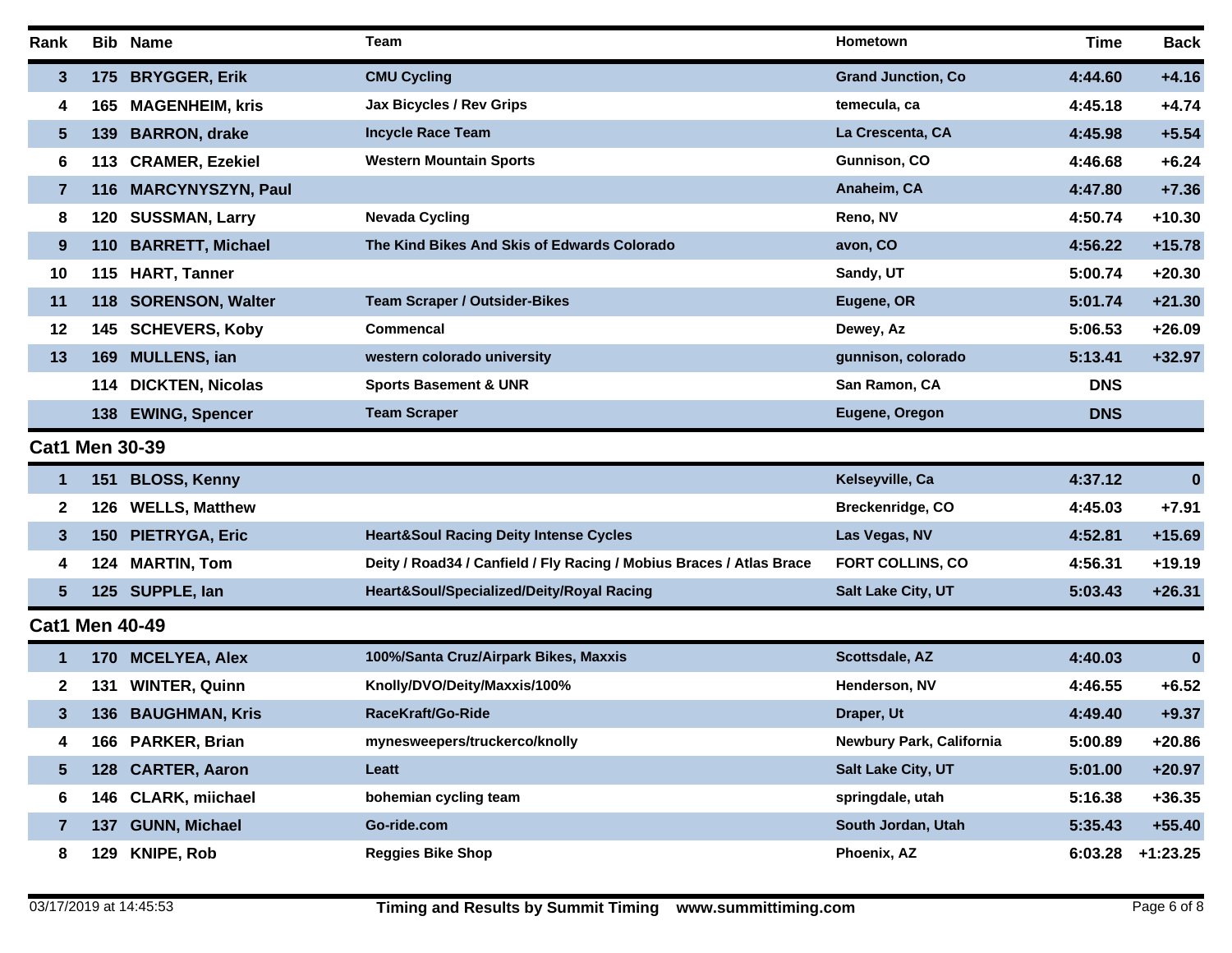| Rank                  |                  | <b>Bib Name</b>          | <b>Team</b>                                                          | Hometown                  | <b>Time</b> | <b>Back</b> |
|-----------------------|------------------|--------------------------|----------------------------------------------------------------------|---------------------------|-------------|-------------|
| 3                     |                  | 175 BRYGGER, Erik        | <b>CMU Cycling</b>                                                   | <b>Grand Junction, Co</b> | 4:44.60     | $+4.16$     |
| 4                     | 165              | <b>MAGENHEIM, kris</b>   | Jax Bicycles / Rev Grips                                             | temecula, ca              | 4:45.18     | $+4.74$     |
| 5                     | 139              | <b>BARRON, drake</b>     | <b>Incycle Race Team</b>                                             | La Crescenta, CA          | 4:45.98     | $+5.54$     |
| 6                     | 113              | <b>CRAMER, Ezekiel</b>   | <b>Western Mountain Sports</b>                                       | Gunnison, CO              | 4:46.68     | $+6.24$     |
| $\mathbf{7}$          | 116              | <b>MARCYNYSZYN, Paul</b> |                                                                      | Anaheim, CA               | 4:47.80     | $+7.36$     |
| 8                     | 120              | <b>SUSSMAN, Larry</b>    | <b>Nevada Cycling</b>                                                | Reno, NV                  | 4:50.74     | $+10.30$    |
| 9                     | 110              | <b>BARRETT, Michael</b>  | The Kind Bikes And Skis of Edwards Colorado                          | avon, CO                  | 4:56.22     | $+15.78$    |
| 10                    | 115              | <b>HART, Tanner</b>      |                                                                      | Sandy, UT                 | 5:00.74     | $+20.30$    |
| 11                    |                  | 118 SORENSON, Walter     | <b>Team Scraper / Outsider-Bikes</b>                                 | Eugene, OR                | 5:01.74     | $+21.30$    |
| 12                    | 145              | <b>SCHEVERS, Koby</b>    | <b>Commencal</b>                                                     | Dewey, Az                 | 5:06.53     | $+26.09$    |
| 13                    | 169              | <b>MULLENS, ian</b>      | western colorado university                                          | gunnison, colorado        | 5:13.41     | $+32.97$    |
|                       | 114              | <b>DICKTEN, Nicolas</b>  | <b>Sports Basement &amp; UNR</b>                                     | San Ramon, CA             | <b>DNS</b>  |             |
|                       |                  | 138 EWING, Spencer       | <b>Team Scraper</b>                                                  | Eugene, Oregon            | <b>DNS</b>  |             |
| <b>Cat1 Men 30-39</b> |                  |                          |                                                                      |                           |             |             |
| 1                     | 151              | <b>BLOSS, Kenny</b>      |                                                                      | Kelseyville, Ca           | 4:37.12     | $\bf{0}$    |
| $\mathbf{2}$          | 126              | <b>WELLS, Matthew</b>    |                                                                      | Breckenridge, CO          | 4:45.03     | $+7.91$     |
| $\mathbf{3}$          | 150 <sub>1</sub> | <b>PIETRYGA, Eric</b>    | <b>Heart&amp;Soul Racing Deity Intense Cycles</b>                    | Las Vegas, NV             | 4:52.81     | $+15.69$    |
| 4                     | 124              | <b>MARTIN, Tom</b>       | Deity / Road34 / Canfield / Fly Racing / Mobius Braces / Atlas Brace | <b>FORT COLLINS, CO</b>   | 4:56.31     | $+19.19$    |
| $5\phantom{.0}$       | 125              | SUPPLE, Ian              | Heart&Soul/Specialized/Deity/Royal Racing                            | Salt Lake City, UT        | 5:03.43     | $+26.31$    |
| <b>Cat1 Men 40-49</b> |                  |                          |                                                                      |                           |             |             |
| 1                     |                  | 170 MCELYEA, Alex        | 100%/Santa Cruz/Airpark Bikes, Maxxis                                | Scottsdale, AZ            | 4:40.03     | $\bf{0}$    |
| 2                     | 131              | <b>WINTER, Quinn</b>     | Knolly/DVO/Deity/Maxxis/100%                                         | Henderson, NV             | 4:46.55     | $+6.52$     |
| 3                     |                  | 136 BAUGHMAN, Kris       | RaceKraft/Go-Ride                                                    | Draper, Ut                | 4:49.40     | $+9.37$     |
| 4                     |                  | 166 PARKER, Brian        | mynesweepers/truckerco/knolly                                        | Newbury Park, California  | 5:00.89     | $+20.86$    |
| 5                     | 128              | <b>CARTER, Aaron</b>     | Leatt                                                                | Salt Lake City, UT        | 5:01.00     | $+20.97$    |
| 6                     | 146              | <b>CLARK, miichael</b>   | bohemian cycling team                                                | springdale, utah          | 5:16.38     | $+36.35$    |
| 7                     | 137              | <b>GUNN, Michael</b>     | Go-ride.com                                                          | South Jordan, Utah        | 5:35.43     | $+55.40$    |
| 8                     | 129              | <b>KNIPE, Rob</b>        | <b>Reggies Bike Shop</b>                                             | Phoenix, AZ               | 6:03.28     | $+1:23.25$  |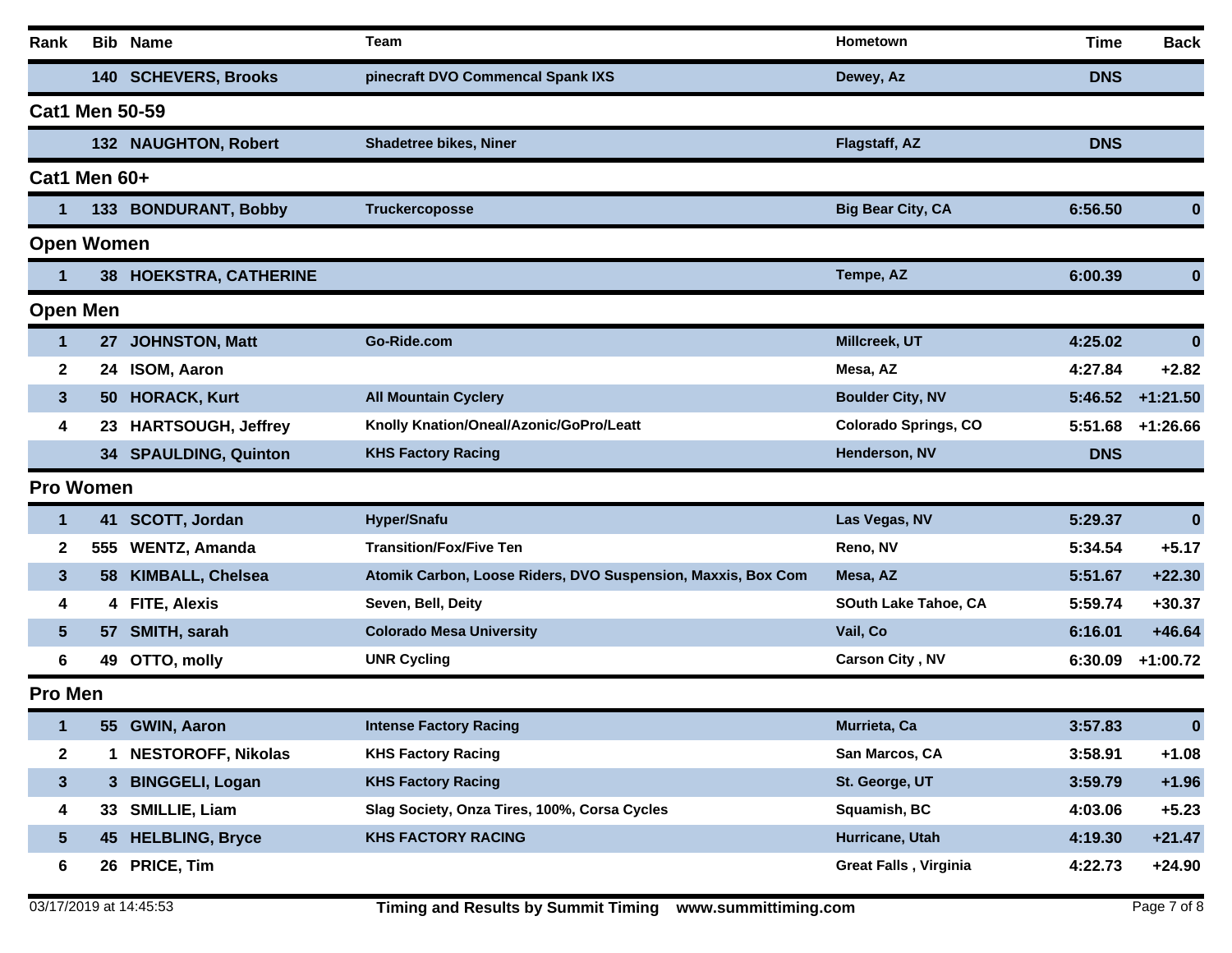| Rank                    |                       | <b>Bib Name</b>               | <b>Team</b>                                                  | Hometown                     | Time       | <b>Back</b> |
|-------------------------|-----------------------|-------------------------------|--------------------------------------------------------------|------------------------------|------------|-------------|
|                         |                       | 140 SCHEVERS, Brooks          | pinecraft DVO Commencal Spank IXS                            | Dewey, Az                    | <b>DNS</b> |             |
|                         | <b>Cat1 Men 50-59</b> |                               |                                                              |                              |            |             |
|                         |                       | 132 NAUGHTON, Robert          | <b>Shadetree bikes, Niner</b>                                | Flagstaff, AZ                | <b>DNS</b> |             |
|                         | Cat1 Men 60+          |                               |                                                              |                              |            |             |
|                         |                       | 133 BONDURANT, Bobby          | <b>Truckercoposse</b>                                        | <b>Big Bear City, CA</b>     | 6:56.50    | $\bf{0}$    |
|                         | <b>Open Women</b>     |                               |                                                              |                              |            |             |
| 1                       |                       | <b>38 HOEKSTRA, CATHERINE</b> |                                                              | Tempe, AZ                    | 6:00.39    | $\bf{0}$    |
|                         | <b>Open Men</b>       |                               |                                                              |                              |            |             |
| $\mathbf 1$             | 27                    | <b>JOHNSTON, Matt</b>         | Go-Ride.com                                                  | Millcreek, UT                | 4:25.02    | $\bf{0}$    |
| $\mathbf{2}$            | 24                    | <b>ISOM, Aaron</b>            |                                                              | Mesa, AZ                     | 4:27.84    | $+2.82$     |
| 3                       | 50                    | <b>HORACK, Kurt</b>           | <b>All Mountain Cyclery</b>                                  | <b>Boulder City, NV</b>      | 5:46.52    | $+1:21.50$  |
| 4                       | 23                    | <b>HARTSOUGH, Jeffrey</b>     | Knolly Knation/Oneal/Azonic/GoPro/Leatt                      | <b>Colorado Springs, CO</b>  | 5:51.68    | $+1:26.66$  |
|                         | 34 -                  | <b>SPAULDING, Quinton</b>     | <b>KHS Factory Racing</b>                                    | Henderson, NV                | <b>DNS</b> |             |
|                         | <b>Pro Women</b>      |                               |                                                              |                              |            |             |
| 1                       | 41.                   | SCOTT, Jordan                 | <b>Hyper/Snafu</b>                                           | Las Vegas, NV                | 5:29.37    | $\bf{0}$    |
| $\mathbf{2}$            | 555                   | <b>WENTZ, Amanda</b>          | <b>Transition/Fox/Five Ten</b>                               | Reno, NV                     | 5:34.54    | $+5.17$     |
| 3                       | 58                    | <b>KIMBALL, Chelsea</b>       | Atomik Carbon, Loose Riders, DVO Suspension, Maxxis, Box Com | Mesa, AZ                     | 5:51.67    | $+22.30$    |
| 4                       | 4                     | FITE, Alexis                  | Seven, Bell, Deity                                           | <b>SOuth Lake Tahoe, CA</b>  | 5:59.74    | $+30.37$    |
| $5\phantom{.0}$         | 57                    | SMITH, sarah                  | <b>Colorado Mesa University</b>                              | Vail, Co                     | 6:16.01    | $+46.64$    |
| 6                       | 49                    | OTTO, molly                   | <b>UNR Cycling</b>                                           | Carson City, NV              | 6:30.09    | $+1:00.72$  |
| <b>Pro Men</b>          |                       |                               |                                                              |                              |            |             |
|                         |                       | 55 GWIN, Aaron                | <b>Intense Factory Racing</b>                                | Murrieta, Ca                 | 3:57.83    | $\bf{0}$    |
| $\mathbf{2}$            |                       | 1 NESTOROFF, Nikolas          | <b>KHS Factory Racing</b>                                    | San Marcos, CA               | 3:58.91    | $+1.08$     |
| $\mathbf{3}$            | 3                     | <b>BINGGELI, Logan</b>        | <b>KHS Factory Racing</b>                                    | St. George, UT               | 3:59.79    | $+1.96$     |
| 4                       | 33                    | SMILLIE, Liam                 | Slag Society, Onza Tires, 100%, Corsa Cycles                 | Squamish, BC                 | 4:03.06    | $+5.23$     |
| $\overline{\mathbf{5}}$ | 45.                   | <b>HELBLING, Bryce</b>        | <b>KHS FACTORY RACING</b>                                    | Hurricane, Utah              | 4:19.30    | $+21.47$    |
| 6                       |                       | 26 PRICE, Tim                 |                                                              | <b>Great Falls, Virginia</b> | 4:22.73    | $+24.90$    |